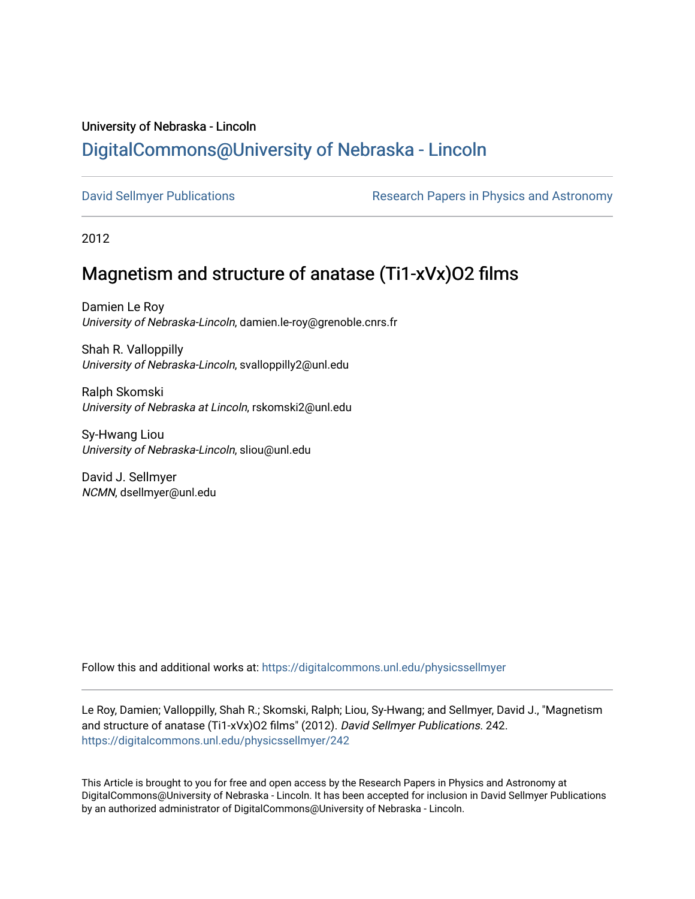## University of Nebraska - Lincoln [DigitalCommons@University of Nebraska - Lincoln](https://digitalcommons.unl.edu/)

[David Sellmyer Publications](https://digitalcommons.unl.edu/physicssellmyer) The Research Papers in Physics and Astronomy

2012

# Magnetism and structure of anatase (Ti1-xVx)O2 films

Damien Le Roy University of Nebraska-Lincoln, damien.le-roy@grenoble.cnrs.fr

Shah R. Valloppilly University of Nebraska-Lincoln, svalloppilly2@unl.edu

Ralph Skomski University of Nebraska at Lincoln, rskomski2@unl.edu

Sy-Hwang Liou University of Nebraska-Lincoln, sliou@unl.edu

David J. Sellmyer NCMN, dsellmyer@unl.edu

Follow this and additional works at: [https://digitalcommons.unl.edu/physicssellmyer](https://digitalcommons.unl.edu/physicssellmyer?utm_source=digitalcommons.unl.edu%2Fphysicssellmyer%2F242&utm_medium=PDF&utm_campaign=PDFCoverPages) 

Le Roy, Damien; Valloppilly, Shah R.; Skomski, Ralph; Liou, Sy-Hwang; and Sellmyer, David J., "Magnetism and structure of anatase (Ti1-xVx)O2 films" (2012). David Sellmyer Publications. 242. [https://digitalcommons.unl.edu/physicssellmyer/242](https://digitalcommons.unl.edu/physicssellmyer/242?utm_source=digitalcommons.unl.edu%2Fphysicssellmyer%2F242&utm_medium=PDF&utm_campaign=PDFCoverPages) 

This Article is brought to you for free and open access by the Research Papers in Physics and Astronomy at DigitalCommons@University of Nebraska - Lincoln. It has been accepted for inclusion in David Sellmyer Publications by an authorized administrator of DigitalCommons@University of Nebraska - Lincoln.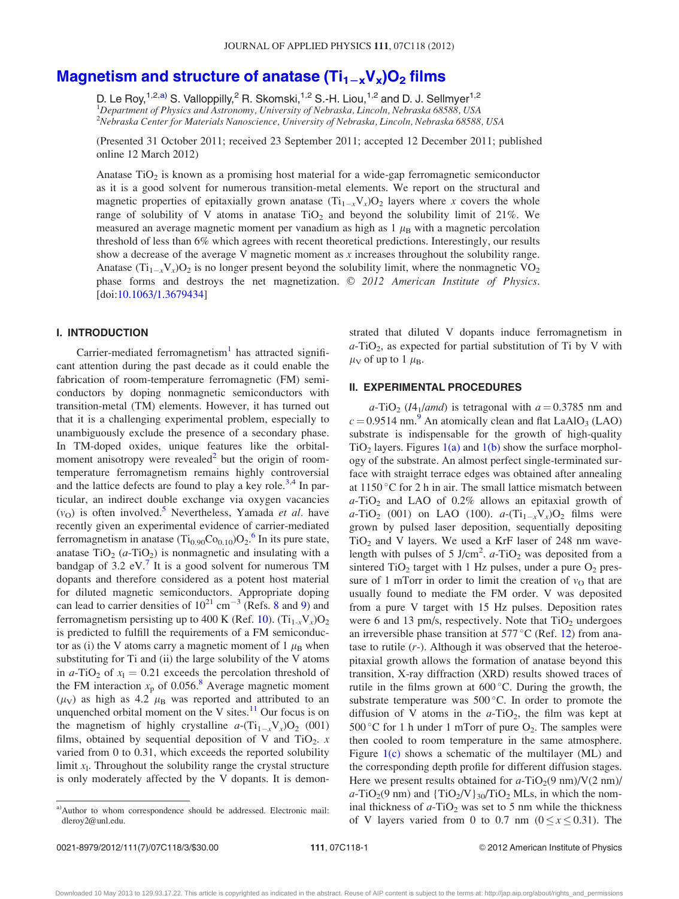### Magnetism and structure of anatase  $(Ti_{1-x}V_x)O_2$  [films](http://dx.doi.org/10.1063/1.3679434)

D. Le Roy,<sup>1,2,a)</sup> S. Valloppilly,<sup>2</sup> R. Skomski,<sup>1,2</sup> S.-H. Liou,<sup>1,2</sup> and D. J. Sellmyer<sup>1,2</sup> <sup>1</sup>Department of Physics and Astronomy, University of Nebraska, Lincoln, Nebraska 68588, USA 2 Nebraska Center for Materials Nanoscience, University of Nebraska, Lincoln, Nebraska 68588, USA

(Presented 31 October 2011; received 23 September 2011; accepted 12 December 2011; published online 12 March 2012)

Anatase  $TiO<sub>2</sub>$  is known as a promising host material for a wide-gap ferromagnetic semiconductor as it is a good solvent for numerous transition-metal elements. We report on the structural and magnetic properties of epitaxially grown anatase  $(Ti_{1-x}V_x)O_2$  layers where x covers the whole range of solubility of V atoms in anatase  $TiO<sub>2</sub>$  and beyond the solubility limit of 21%. We measured an average magnetic moment per vanadium as high as  $1 \mu_B$  with a magnetic percolation threshold of less than 6% which agrees with recent theoretical predictions. Interestingly, our results show a decrease of the average V magnetic moment as  $x$  increases throughout the solubility range. Anatase  $(Ti_{1-x}V_x)O_2$  is no longer present beyond the solubility limit, where the nonmagnetic  $VO_2$ phase forms and destroys the net magnetization.  $\odot$  2012 American Institute of Physics. [doi:[10.1063/1.3679434\]](http://dx.doi.org/10.1063/1.3679434)

#### I. INTRODUCTION

Carrier-mediated ferromagnetism<sup>[1](#page-3-0)</sup> has attracted significant attention during the past decade as it could enable the fabrication of room-temperature ferromagnetic (FM) semiconductors by doping nonmagnetic semiconductors with transition-metal (TM) elements. However, it has turned out that it is a challenging experimental problem, especially to unambiguously exclude the presence of a secondary phase. In TM-doped oxides, unique features like the orbital-moment anisotropy were revealed<sup>[2](#page-3-0)</sup> but the origin of roomtemperature ferromagnetism remains highly controversial and the lattice defects are found to play a key role.<sup>[3,4](#page-3-0)</sup> In particular, an indirect double exchange via oxygen vacancies  $(v<sub>O</sub>)$  is often involved.<sup>[5](#page-3-0)</sup> Nevertheless, Yamada *et al.* have recently given an experimental evidence of carrier-mediated ferromagnetism in anatase  $(Ti_{0.90}Co_{0.10})O_2$ .<sup>[6](#page-3-0)</sup> In its pure state, anatase  $TiO<sub>2</sub>$  (a-TiO<sub>2</sub>) is nonmagnetic and insulating with a bandgap of  $3.2$  eV. It is a good solvent for numerous TM dopants and therefore considered as a potent host material for diluted magnetic semiconductors. Appropriate doping can lead to carrier densities of  $10^{21}$  cm<sup>-3</sup> (Refs. [8](#page-3-0) and [9](#page-3-0)) and ferromagnetism persisting up to 400 K (Ref. [10\)](#page-3-0).  $(Ti_{1-x}V_x)O_2$ is predicted to fulfill the requirements of a FM semiconductor as (i) the V atoms carry a magnetic moment of 1  $\mu_B$  when substituting for Ti and (ii) the large solubility of the V atoms in  $a$ -TiO<sub>2</sub> of  $x_1 = 0.21$  exceeds the percolation threshold of the FM interaction  $x_p$  of 0.056.<sup>8</sup> Average magnetic moment  $(\mu_V)$  as high as 4.2  $\mu_B$  was reported and attributed to an unquenched orbital moment on the V sites. $^{11}$  $^{11}$  $^{11}$  Our focus is on the magnetism of highly crystalline  $a-(Ti_{1-x}V_x)O_2$  (001) films, obtained by sequential deposition of V and TiO<sub>2</sub>.  $x$ varied from 0 to 0.31, which exceeds the reported solubility limit  $x_1$ . Throughout the solubility range the crystal structure is only moderately affected by the V dopants. It is demonstrated that diluted V dopants induce ferromagnetism in  $a$ -TiO<sub>2</sub>, as expected for partial substitution of Ti by V with  $\mu$ <sub>V</sub> of up to 1  $\mu$ <sub>B</sub>.

#### II. EXPERIMENTAL PROCEDURES

 $a-\text{TiO}_2$  (*I4*<sub>1</sub>/*amd*) is tetragonal with  $a = 0.3785$  nm and  $c = 0.9514$  $c = 0.9514$  $c = 0.9514$  nm.<sup>9</sup> An atomically clean and flat LaAlO<sub>3</sub> (LAO) substrate is indispensable for the growth of high-quality  $TiO<sub>2</sub>$  layers. Figures [1\(a\)](#page-2-0) and [1\(b\)](#page-2-0) show the surface morphology of the substrate. An almost perfect single-terminated surface with straight terrace edges was obtained after annealing at  $1150^{\circ}$ C for 2 h in air. The small lattice mismatch between  $a$ -TiO<sub>2</sub> and LAO of 0.2% allows an epitaxial growth of *a*-TiO<sub>2</sub> (001) on LAO (100). *a*- $(Ti_{1-x}V_x)O_2$  films were grown by pulsed laser deposition, sequentially depositing  $TiO<sub>2</sub>$  and V layers. We used a KrF laser of 248 nm wavelength with pulses of 5 J/cm<sup>2</sup>.  $a$ -TiO<sub>2</sub> was deposited from a sintered  $TiO<sub>2</sub>$  target with 1 Hz pulses, under a pure  $O<sub>2</sub>$  pressure of 1 mTorr in order to limit the creation of  $v<sub>O</sub>$  that are usually found to mediate the FM order. V was deposited from a pure V target with 15 Hz pulses. Deposition rates were 6 and 13 pm/s, respectively. Note that  $TiO<sub>2</sub>$  undergoes an irreversible phase transition at  $577^{\circ}$ C (Ref. [12](#page-3-0)) from anatase to rutile  $(r<sub>-</sub>)$ . Although it was observed that the heteroepitaxial growth allows the formation of anatase beyond this transition, X-ray diffraction (XRD) results showed traces of rutile in the films grown at  $600^{\circ}$ C. During the growth, the substrate temperature was  $500^{\circ}$ C. In order to promote the diffusion of V atoms in the  $a$ -TiO<sub>2</sub>, the film was kept at 500 °C for 1 h under 1 mTorr of pure  $O_2$ . The samples were then cooled to room temperature in the same atmosphere. Figure  $1(c)$  shows a schematic of the multilayer (ML) and the corresponding depth profile for different diffusion stages. Here we present results obtained for  $a-\text{TiO}_2(9 \text{ nm})/\text{V}(2 \text{ nm})/$  $a-\text{TiO}_2(9 \text{ nm})$  and  $\{\text{TiO}_2/V\}_{30}/\text{TiO}_2$  MLs, in which the nominal thickness of  $a$ -TiO<sub>2</sub> was set to 5 nm while the thickness of V layers varied from 0 to 0.7 nm ( $0 \le x \le 0.31$ ). The

a)Author to whom correspondence should be addressed. Electronic mail: dleroy2@unl.edu.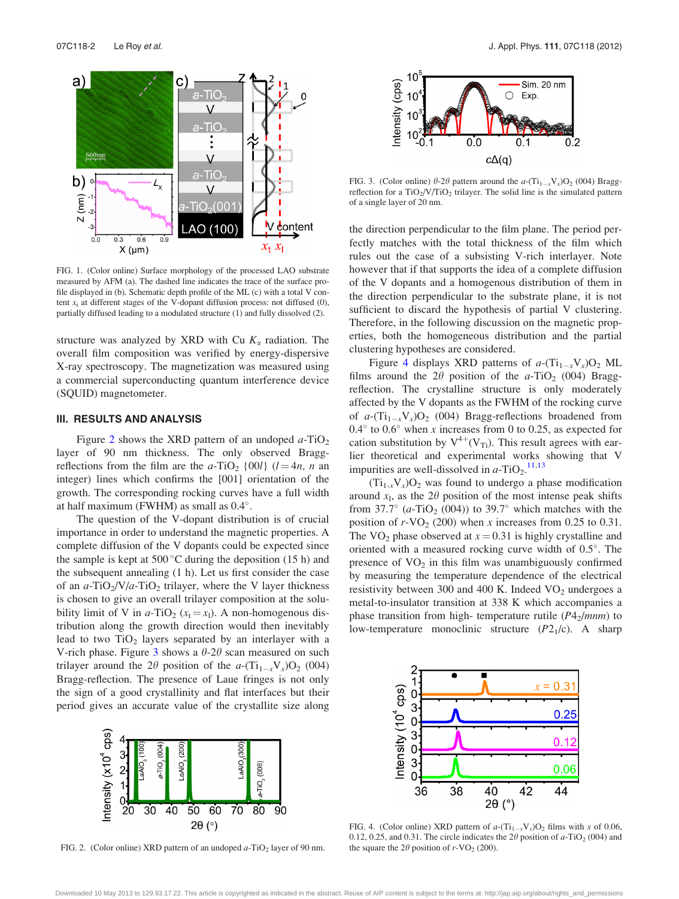<span id="page-2-0"></span>

FIG. 1. (Color online) Surface morphology of the processed LAO substrate measured by AFM (a). The dashed line indicates the trace of the surface profile displayed in (b). Schematic depth profile of the ML (c) with a total V content  $x_t$  at different stages of the V-dopant diffusion process: not diffused (0), partially diffused leading to a modulated structure (1) and fully dissolved (2).

structure was analyzed by XRD with Cu  $K_{\alpha}$  radiation. The overall film composition was verified by energy-dispersive X-ray spectroscopy. The magnetization was measured using a commercial superconducting quantum interference device (SQUID) magnetometer.

#### III. RESULTS AND ANALYSIS

Figure 2 shows the XRD pattern of an undoped  $a$ -TiO<sub>2</sub> layer of 90 nm thickness. The only observed Braggreflections from the film are the a-TiO<sub>2</sub> {00*l*} ( $l = 4n$ , n an integer) lines which confirms the [001] orientation of the growth. The corresponding rocking curves have a full width at half maximum (FWHM) as small as  $0.4^{\circ}$ .

The question of the V-dopant distribution is of crucial importance in order to understand the magnetic properties. A complete diffusion of the V dopants could be expected since the sample is kept at  $500^{\circ}$ C during the deposition (15 h) and the subsequent annealing (1 h). Let us first consider the case of an  $a$ -TiO<sub>2</sub>/V/a-TiO<sub>2</sub> trilayer, where the V layer thickness is chosen to give an overall trilayer composition at the solubility limit of V in a-TiO<sub>2</sub> ( $x_t = x_l$ ). A non-homogenous distribution along the growth direction would then inevitably lead to two  $TiO<sub>2</sub>$  layers separated by an interlayer with a V-rich phase. Figure 3 shows a  $\theta$ -2 $\theta$  scan measured on such trilayer around the  $2\theta$  position of the  $a - (\text{Ti}_{1-x} \text{V}_x) \text{O}_2$  (004) Bragg-reflection. The presence of Laue fringes is not only the sign of a good crystallinity and flat interfaces but their period gives an accurate value of the crystallite size along



FIG. 2. (Color online) XRD pattern of an undoped  $a$ -TiO<sub>2</sub> layer of 90 nm.



FIG. 3. (Color online)  $\theta$ -2 $\theta$  pattern around the  $a$ -(Ti<sub>1-x</sub>V<sub>x</sub>)O<sub>2</sub> (004) Braggreflection for a  $TiO<sub>2</sub>/V/TiO<sub>2</sub>$  trilayer. The solid line is the simulated pattern of a single layer of 20 nm.

the direction perpendicular to the film plane. The period perfectly matches with the total thickness of the film which rules out the case of a subsisting V-rich interlayer. Note however that if that supports the idea of a complete diffusion of the V dopants and a homogenous distribution of them in the direction perpendicular to the substrate plane, it is not sufficient to discard the hypothesis of partial V clustering. Therefore, in the following discussion on the magnetic properties, both the homogeneous distribution and the partial clustering hypotheses are considered.

Figure 4 displays XRD patterns of  $a-(Ti_{1-x}V_x)O_2$  ML films around the  $2\theta$  position of the a-TiO<sub>2</sub> (004) Braggreflection. The crystalline structure is only moderately affected by the V dopants as the FWHM of the rocking curve of  $a-(Ti_{1-x}V_x)O_2$  (004) Bragg-reflections broadened from 0.4 $\degree$  to 0.6 $\degree$  when x increases from 0 to 0.25, as expected for cation substitution by  $V^{4+}(V_{Ti})$ . This result agrees with earlier theoretical and experimental works showing that V impurities are well-dissolved in  $a$ -TiO<sub>2</sub>.<sup>[11,13](#page-3-0)</sup>

 $(Ti_{1-x}V_{x})O_{2}$  was found to undergo a phase modification around  $x_1$ , as the 2 $\theta$  position of the most intense peak shifts from 37.7°  $(a-\text{TiO}_2 (004))$  to 39.7° which matches with the position of  $r$ -VO<sub>2</sub> (200) when x increases from 0.25 to 0.31. The VO<sub>2</sub> phase observed at  $x = 0.31$  is highly crystalline and oriented with a measured rocking curve width of  $0.5^\circ$ . The presence of  $VO<sub>2</sub>$  in this film was unambiguously confirmed by measuring the temperature dependence of the electrical resistivity between 300 and 400 K. Indeed  $VO<sub>2</sub>$  undergoes a metal-to-insulator transition at 338 K which accompanies a phase transition from high- temperature rutile  $(P4<sub>2</sub>/mm)$  to low-temperature monoclinic structure  $(P2<sub>1</sub>/c)$ . A sharp



FIG. 4. (Color online) XRD pattern of  $a-(Ti_{1-x}V_x)O_2$  films with x of 0.06, 0.12, 0.25, and 0.31. The circle indicates the  $2\theta$  position of  $a-\text{TiO}_2$  (004) and the square the  $2\theta$  position of r-VO<sub>2</sub> (200).